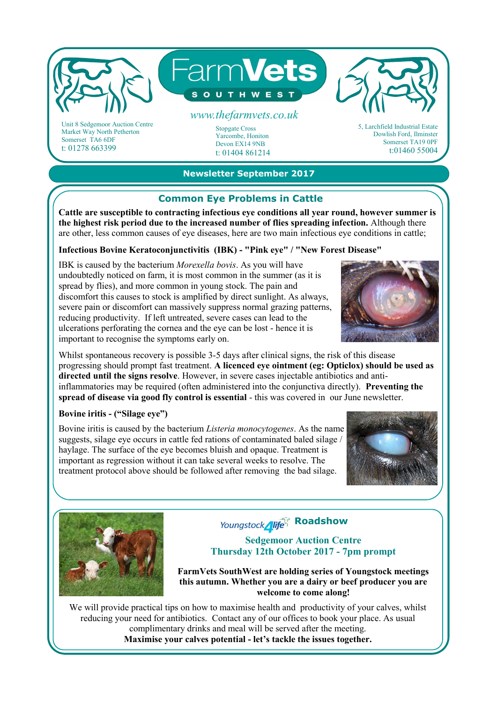

Unit 8 Sedgemoor Auction Centre Market Way North Petherton Somerset TA6 6DF t: 01278 663399

Stopgate Cross Yarcombe, Honiton Devon EX14 9NB t: 01404 861214 5, Larchfield Industrial Estate Dowlish Ford, Ilminster Somerset TA19 0PF t:01460 55004

## **Newsletter September 2017**

## **Common Eye Problems in Cattle**

**Cattle are susceptible to contracting infectious eye conditions all year round, however summer is the highest risk period due to the increased number of flies spreading infection.** Although there are other, less common causes of eye diseases, here are two main infectious eye conditions in cattle;

## **Infectious Bovine Keratoconjunctivitis (IBK) - "Pink eye" / "New Forest Disease"**

IBK is caused by the bacterium *Morexella bovis*. As you will have undoubtedly noticed on farm, it is most common in the summer (as it is spread by flies), and more common in young stock. The pain and discomfort this causes to stock is amplified by direct sunlight. As always, severe pain or discomfort can massively suppress normal grazing patterns, reducing productivity. If left untreated, severe cases can lead to the ulcerations perforating the cornea and the eye can be lost - hence it is important to recognise the symptoms early on.



Whilst spontaneous recovery is possible 3-5 days after clinical signs, the risk of this disease progressing should prompt fast treatment. **A licenced eye ointment (eg: Opticlox) should be used as directed until the signs resolve**. However, in severe cases injectable antibiotics and antiinflammatories may be required (often administered into the conjunctiva directly). **Preventing the spread of disease via good fly control is essential** - this was covered in our June newsletter.

### **Bovine iritis - ("Silage eye")**

Bovine iritis is caused by the bacterium *Listeria monocytogenes*. As the name suggests, silage eye occurs in cattle fed rations of contaminated baled silage / haylage. The surface of the eye becomes bluish and opaque. Treatment is important as regression without it can take several weeks to resolve. The treatment protocol above should be followed after removing the bad silage.





# Youngstock**<sub>Iffe</sub>**<sup>c</sup> Roadshow

### **Sedgemoor Auction Centre Thursday 12th October 2017 - 7pm prompt**

**FarmVets SouthWest are holding series of Youngstock meetings this autumn. Whether you are a dairy or beef producer you are welcome to come along!**

We will provide practical tips on how to maximise health and productivity of your calves, whilst reducing your need for antibiotics. Contact any of our offices to book your place. As usual complimentary drinks and meal will be served after the meeting. **Maximise your calves potential - let's tackle the issues together.**